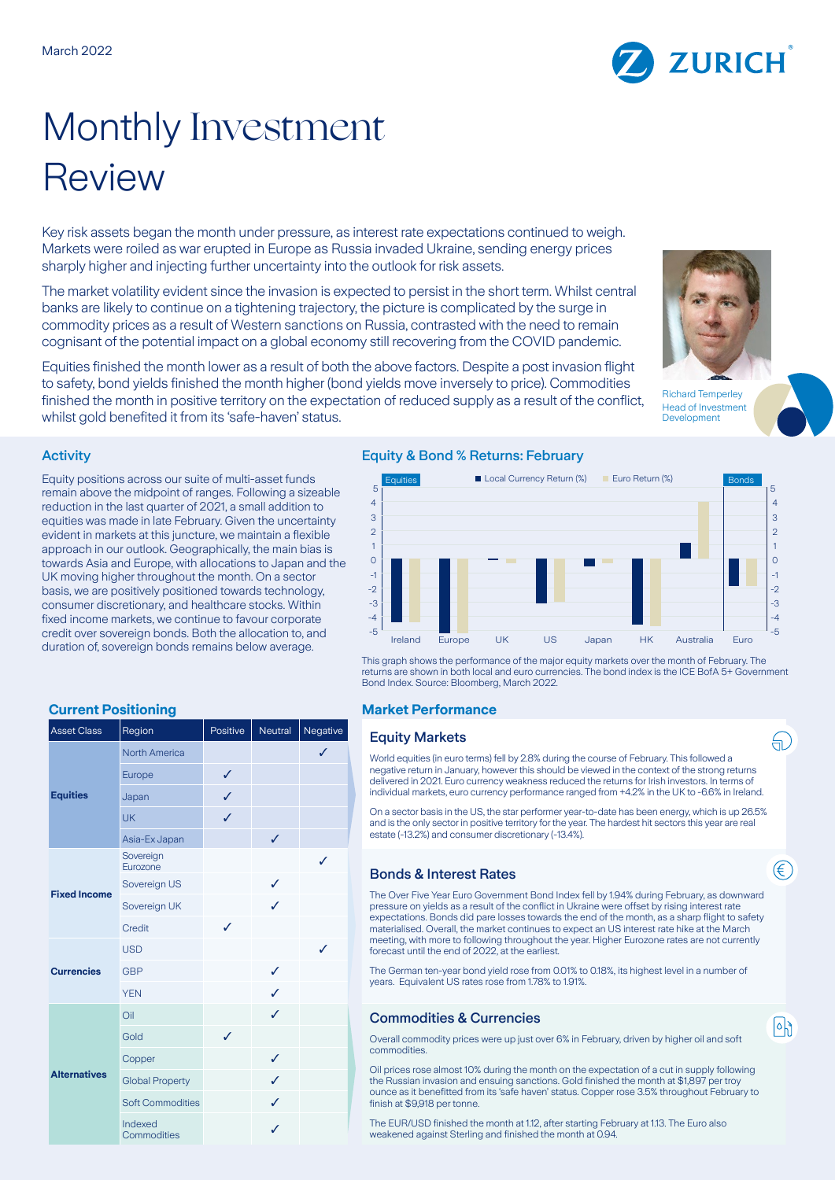# Monthly Investment Review

Key risk assets began the month under pressure, as interest rate expectations continued to weigh. Markets were roiled as war erupted in Europe as Russia invaded Ukraine, sending energy prices sharply higher and injecting further uncertainty into the outlook for risk assets.

The market volatility evident since the invasion is expected to persist in the short term. Whilst central banks are likely to continue on a tightening trajectory, the picture is complicated by the surge in commodity prices as a result of Western sanctions on Russia, contrasted with the need to remain cognisant of the potential impact on a global economy still recovering from the COVID pandemic.

Equities finished the month lower as a result of both the above factors. Despite a post invasion flight to safety, bond yields finished the month higher (bond yields move inversely to price). Commodities finished the month in positive territory on the expectation of reduced supply as a result of the conflict, whilst gold benefited it from its 'safe-haven' status.

# **Activity**

Equity positions across our suite of multi-asset funds remain above the midpoint of ranges. Following a sizeable reduction in the last quarter of 2021, a small addition to equities was made in late February. Given the uncertainty evident in markets at this juncture, we maintain a flexible approach in our outlook. Geographically, the main bias is towards Asia and Europe, with allocations to Japan and the UK moving higher throughout the month. On a sector basis, we are positively positioned towards technology, consumer discretionary, and healthcare stocks. Within fixed income markets, we continue to favour corporate credit over sovereign bonds. Both the allocation to, and duration of, sovereign bonds remains below average.

| <b>Asset Class</b>  | Region                  | Positive | Neutral | Negative |
|---------------------|-------------------------|----------|---------|----------|
| <b>Equities</b>     | <b>North America</b>    |          |         | ✓        |
|                     | Europe                  | ✓        |         |          |
|                     | Japan                   | ✓        |         |          |
|                     | <b>UK</b>               | ✓        |         |          |
|                     | Asia-Ex Japan           |          | ✓       |          |
| <b>Fixed Income</b> | Sovereign<br>Eurozone   |          |         | ✓        |
|                     | Sovereign US            |          | ✓       |          |
|                     | Sovereign UK            |          | ✓       |          |
|                     | Credit                  | ✓        |         |          |
| <b>Currencies</b>   | <b>USD</b>              |          |         | ✓        |
|                     | <b>GBP</b>              |          | ✓       |          |
|                     | <b>YEN</b>              |          | ✓       |          |
| <b>Alternatives</b> | Oil                     |          | ✓       |          |
|                     | Gold                    | ✓        |         |          |
|                     | Copper                  |          | ✓       |          |
|                     | <b>Global Property</b>  |          | ✓       |          |
|                     | <b>Soft Commodities</b> |          | ✓       |          |
|                     | Indexed<br>Commodities  |          | ✓       |          |

# Equity & Bond % Returns: February



This graph shows the performance of the major equity markets over the month of February. The returns are shown in both local and euro currencies. The bond index is the ICE BofA 5+ Government Bond Index. Source: Bloomberg, March 2022.

### **Current Positioning Current Positioning Current Positioning Current Performance**

### **Equity Markets**

World equities (in euro terms) fell by 2.8% during the course of February. This followed a negative return in January, however this should be viewed in the context of the strong returns delivered in 2021. Euro currency weakness reduced the returns for Irish investors. In terms of individual markets, euro currency performance ranged from +4.2% in the UK to -6.6% in Ireland.

On a sector basis in the US, the star performer year-to-date has been energy, which is up 26.5% and is the only sector in positive territory for the year. The hardest hit sectors this year are real estate (-13.2%) and consumer discretionary (-13.4%).

### Bonds & Interest Rates

The Over Five Year Euro Government Bond Index fell by 1.94% during February, as downward pressure on yields as a result of the conflict in Ukraine were offset by rising interest rate expectations. Bonds did pare losses towards the end of the month, as a sharp flight to safety materialised. Overall, the market continues to expect an US interest rate hike at the March meeting, with more to following throughout the year. Higher Eurozone rates are not currently forecast until the end of 2022, at the earliest.

The German ten-year bond yield rose from 0.01% to 0.18%, its highest level in a number of years. Equivalent US rates rose from 1.78% to 1.91%.

## **Commodities & Currencies**

Overall commodity prices were up just over 6% in February, driven by higher oil and soft commodities.

Oil prices rose almost 10% during the month on the expectation of a cut in supply following the Russian invasion and ensuing sanctions. Gold finished the month at \$1,897 per troy ounce as it benefitted from its 'safe haven' status. Copper rose 3.5% throughout February to finish at \$9,918 per tonne.

The EUR/USD finished the month at 1.12, after starting February at 1.13. The Euro also weakened against Sterling and finished the month at 0.94.





**ZURICH** 



<u>(</u> )

∉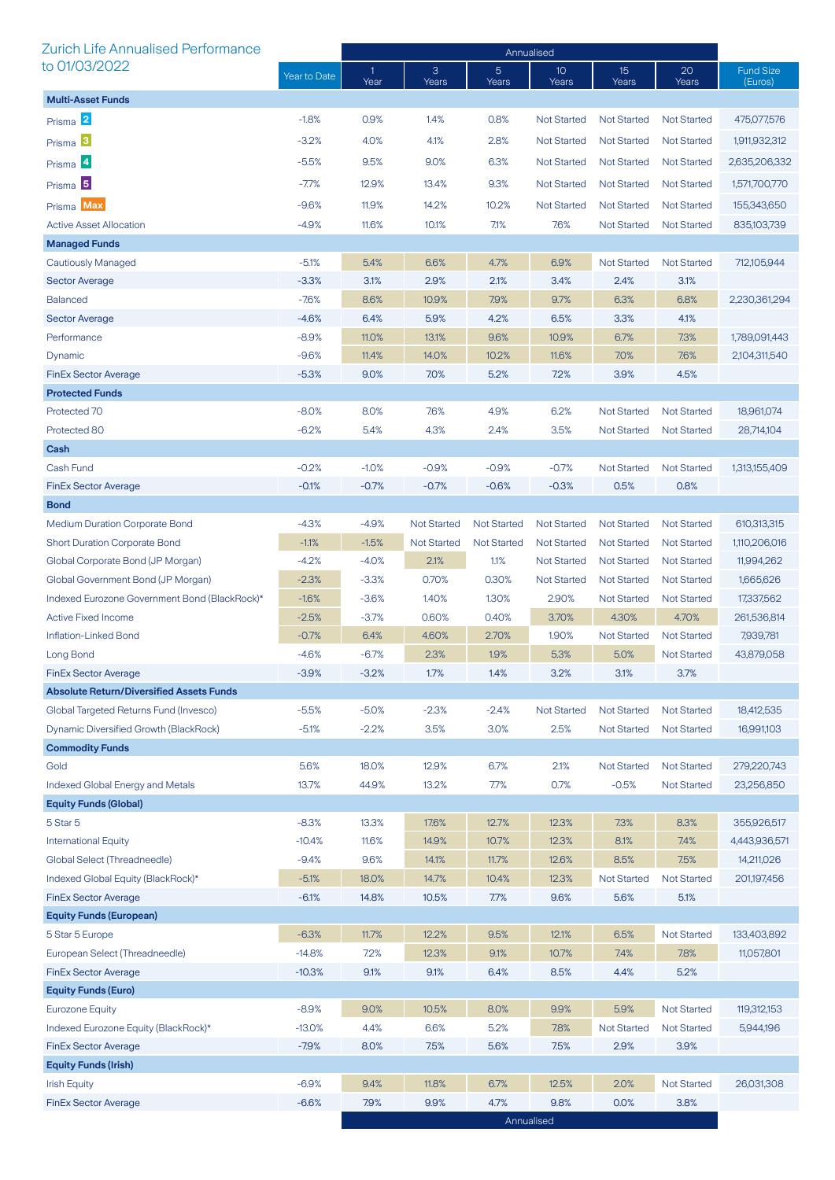| <b>Zurich Life Annualised Performance</b>       |              | Annualised           |                    |                         |                          |                          |                    |                             |
|-------------------------------------------------|--------------|----------------------|--------------------|-------------------------|--------------------------|--------------------------|--------------------|-----------------------------|
| to 01/03/2022                                   | Year to Date | $\mathbf{1}$<br>Year | 3<br>Years         | $\overline{5}$<br>Years | 10 <sup>°</sup><br>Years | 15 <sup>2</sup><br>Years | 20<br>Years        | <b>Fund Size</b><br>(Euros) |
| <b>Multi-Asset Funds</b>                        |              |                      |                    |                         |                          |                          |                    |                             |
| Prisma <sup>2</sup>                             | $-1.8%$      | 0.9%                 | 1.4%               | 0.8%                    | <b>Not Started</b>       | <b>Not Started</b>       | <b>Not Started</b> | 475,077,576                 |
| Prisma <sup>3</sup>                             | $-3.2%$      | 4.0%                 | 4.1%               | 2.8%                    | <b>Not Started</b>       | <b>Not Started</b>       | <b>Not Started</b> | 1,911,932,312               |
| Prisma <sup>4</sup>                             | $-5.5%$      | 9.5%                 | 9.0%               | 6.3%                    | <b>Not Started</b>       | <b>Not Started</b>       | <b>Not Started</b> | 2,635,206,332               |
|                                                 | $-7.7%$      | 12.9%                | 13.4%              | 9.3%                    |                          |                          | <b>Not Started</b> |                             |
| Prisma <sup>5</sup>                             |              |                      |                    |                         | <b>Not Started</b>       | <b>Not Started</b>       |                    | 1,571,700,770               |
| Prisma Max                                      | $-9.6%$      | 11.9%                | 14.2%              | 10.2%                   | <b>Not Started</b>       | <b>Not Started</b>       | <b>Not Started</b> | 155,343,650                 |
| <b>Active Asset Allocation</b>                  | $-4.9%$      | 11.6%                | 10.1%              | 7.1%                    | 7.6%                     | <b>Not Started</b>       | <b>Not Started</b> | 835,103,739                 |
| <b>Managed Funds</b>                            |              |                      |                    |                         |                          |                          |                    |                             |
| <b>Cautiously Managed</b>                       | $-5.1%$      | 5.4%                 | 6.6%               | 4.7%                    | 6.9%                     | <b>Not Started</b>       | <b>Not Started</b> | 712,105,944                 |
| <b>Sector Average</b>                           | $-3.3%$      | 3.1%                 | 2.9%               | 2.1%                    | 3.4%                     | 2.4%                     | 3.1%               |                             |
| <b>Balanced</b>                                 | $-7.6%$      | 8.6%                 | 10.9%              | 7.9%                    | 9.7%                     | 6.3%                     | 6.8%               | 2,230,361,294               |
| <b>Sector Average</b>                           | $-4.6%$      | 6.4%                 | 5.9%               | 4.2%                    | 6.5%                     | 3.3%                     | 4.1%               |                             |
| Performance                                     | $-8.9%$      | 11.0%                | 13.1%              | 9.6%                    | 10.9%                    | 6.7%                     | 7.3%               | 1,789,091,443               |
| Dynamic                                         | $-9.6%$      | 11.4%                | 14.0%              | 10.2%                   | 11.6%                    | 7.0%                     | 7.6%               | 2,104,311,540               |
| <b>FinEx Sector Average</b>                     | $-5.3%$      | 9.0%                 | 7.0%               | 5.2%                    | 7.2%                     | 3.9%                     | 4.5%               |                             |
| <b>Protected Funds</b>                          |              |                      |                    |                         |                          |                          |                    |                             |
| Protected 70                                    | $-8.0%$      | 8.0%                 | 7.6%               | 4.9%                    | 6.2%                     | <b>Not Started</b>       | <b>Not Started</b> | 18,961,074                  |
| Protected 80                                    | $-6.2%$      | 5.4%                 | 4.3%               | 2.4%                    | 3.5%                     | <b>Not Started</b>       | <b>Not Started</b> | 28,714,104                  |
| Cash                                            |              |                      |                    |                         |                          |                          |                    |                             |
| Cash Fund                                       | $-0.2%$      | $-1.0%$              | $-0.9%$            | $-0.9%$                 | $-0.7%$                  | <b>Not Started</b>       | <b>Not Started</b> | 1,313,155,409               |
| <b>FinEx Sector Average</b>                     | $-0.1%$      | $-0.7%$              | $-0.7%$            | $-0.6%$                 | $-0.3%$                  | 0.5%                     | 0.8%               |                             |
| <b>Bond</b>                                     |              |                      |                    |                         |                          |                          |                    |                             |
| <b>Medium Duration Corporate Bond</b>           | $-4.3%$      | $-4.9%$              | <b>Not Started</b> | <b>Not Started</b>      | <b>Not Started</b>       | <b>Not Started</b>       | <b>Not Started</b> | 610,313,315                 |
| <b>Short Duration Corporate Bond</b>            | $-1.1%$      | $-1.5%$              | <b>Not Started</b> | <b>Not Started</b>      | <b>Not Started</b>       | <b>Not Started</b>       | <b>Not Started</b> | 1,110,206,016               |
| Global Corporate Bond (JP Morgan)               | $-4.2%$      | $-4.0%$              | 2.1%               | 1.1%                    | <b>Not Started</b>       | <b>Not Started</b>       | <b>Not Started</b> | 11,994,262                  |
| Global Government Bond (JP Morgan)              | $-2.3%$      | $-3.3%$              | 0.70%              | 0.30%                   | <b>Not Started</b>       | <b>Not Started</b>       | <b>Not Started</b> | 1,665,626                   |
| Indexed Eurozone Government Bond (BlackRock)*   | $-1.6%$      | $-3.6%$              | 1.40%              | 1.30%                   | 2.90%                    | <b>Not Started</b>       | <b>Not Started</b> | 17,337,562                  |
| <b>Active Fixed Income</b>                      | $-2.5%$      | $-3.7%$              | 0.60%              | 0.40%                   | 3.70%                    | 4.30%                    | 4.70%              | 261,536,814                 |
| Inflation-Linked Bond                           | $-0.7%$      | 6.4%                 | 4.60%              | 2.70%                   | 1.90%                    | <b>Not Started</b>       | <b>Not Started</b> | 7,939,781                   |
| Long Bond                                       | $-4.6%$      | $-6.7%$              | 2.3%               | 1.9%                    | 5.3%                     | 5.0%                     | <b>Not Started</b> | 43,879,058                  |
| <b>FinEx Sector Average</b>                     | $-3.9%$      | $-3.2%$              | 1.7%               | 1.4%                    | 3.2%                     | 3.1%                     | 3.7%               |                             |
| <b>Absolute Return/Diversified Assets Funds</b> |              |                      |                    |                         |                          |                          |                    |                             |
| Global Targeted Returns Fund (Invesco)          | $-5.5%$      | $-5.0%$              | $-2.3%$            | $-2.4%$                 | <b>Not Started</b>       | <b>Not Started</b>       | <b>Not Started</b> | 18,412,535                  |
| Dynamic Diversified Growth (BlackRock)          | $-5.1%$      | $-2.2%$              | 3.5%               | 3.0%                    | 2.5%                     | <b>Not Started</b>       | <b>Not Started</b> | 16,991,103                  |
| <b>Commodity Funds</b>                          |              |                      |                    |                         |                          |                          |                    |                             |
| Gold                                            | 5.6%         | 18.0%                | 12.9%              | 6.7%                    | 2.1%                     | Not Started              | <b>Not Started</b> | 279,220,743                 |
| <b>Indexed Global Energy and Metals</b>         | 13.7%        | 44.9%                | 13.2%              | 7.7%                    | 0.7%                     | $-0.5%$                  | <b>Not Started</b> | 23,256,850                  |
| <b>Equity Funds (Global)</b>                    |              |                      |                    |                         |                          |                          |                    |                             |
| 5 Star 5                                        | $-8.3%$      | 13.3%                | 17.6%              | 12.7%                   | 12.3%                    | 7.3%                     | 8.3%               | 355,926,517                 |
| <b>International Equity</b>                     | $-10.4%$     | 11.6%                | 14.9%              | 10.7%                   | 12.3%                    | 8.1%                     | 7.4%               | 4,443,936,571               |
| Global Select (Threadneedle)                    | $-9.4%$      | 9.6%                 | 14.1%              | 11.7%                   | 12.6%                    | 8.5%                     | 7.5%               | 14,211,026                  |
| Indexed Global Equity (BlackRock)*              | $-5.1%$      | 18.0%                | 14.7%              | 10.4%                   | 12.3%                    | <b>Not Started</b>       | <b>Not Started</b> | 201,197,456                 |
| <b>FinEx Sector Average</b>                     | $-6.1%$      | 14.8%                | 10.5%              | 7.7%                    | 9.6%                     | 5.6%                     | 5.1%               |                             |
| <b>Equity Funds (European)</b>                  |              |                      |                    |                         |                          |                          |                    |                             |
| 5 Star 5 Europe                                 | $-6.3%$      | 11.7%                | 12.2%              | 9.5%                    | 12.1%                    | 6.5%                     | <b>Not Started</b> | 133,403,892                 |
| European Select (Threadneedle)                  | $-14.8%$     | 7.2%                 | 12.3%              | 9.1%                    | 10.7%                    | 7.4%                     | 7.8%               | 11,057,801                  |
| <b>FinEx Sector Average</b>                     | $-10.3%$     | 9.1%                 | 9.1%               | 6.4%                    | 8.5%                     | 4.4%                     | 5.2%               |                             |
| <b>Equity Funds (Euro)</b>                      |              |                      |                    |                         |                          |                          |                    |                             |
| <b>Eurozone Equity</b>                          | $-8.9%$      | 9.0%                 | 10.5%              | 8.0%                    | 9.9%                     | 5.9%                     | <b>Not Started</b> | 119,312,153                 |
| Indexed Eurozone Equity (BlackRock)*            | $-13.0%$     | 4.4%                 | 6.6%               | 5.2%                    | 7.8%                     | <b>Not Started</b>       | <b>Not Started</b> | 5,944,196                   |
| <b>FinEx Sector Average</b>                     | $-7.9%$      | 8.0%                 | 7.5%               | 5.6%                    | 7.5%                     | 2.9%                     | 3.9%               |                             |
| <b>Equity Funds (Irish)</b>                     |              |                      |                    |                         |                          |                          |                    |                             |
| <b>Irish Equity</b>                             | $-6.9%$      | 9.4%                 | 11.8%              | 6.7%                    | 12.5%                    | 2.0%                     | <b>Not Started</b> | 26,031,308                  |
| <b>FinEx Sector Average</b>                     | $-6.6%$      | 7.9%                 | 9.9%               | 4.7%                    | 9.8%                     | 0.0%                     | 3.8%               |                             |
|                                                 |              |                      |                    |                         | Annualised               |                          |                    |                             |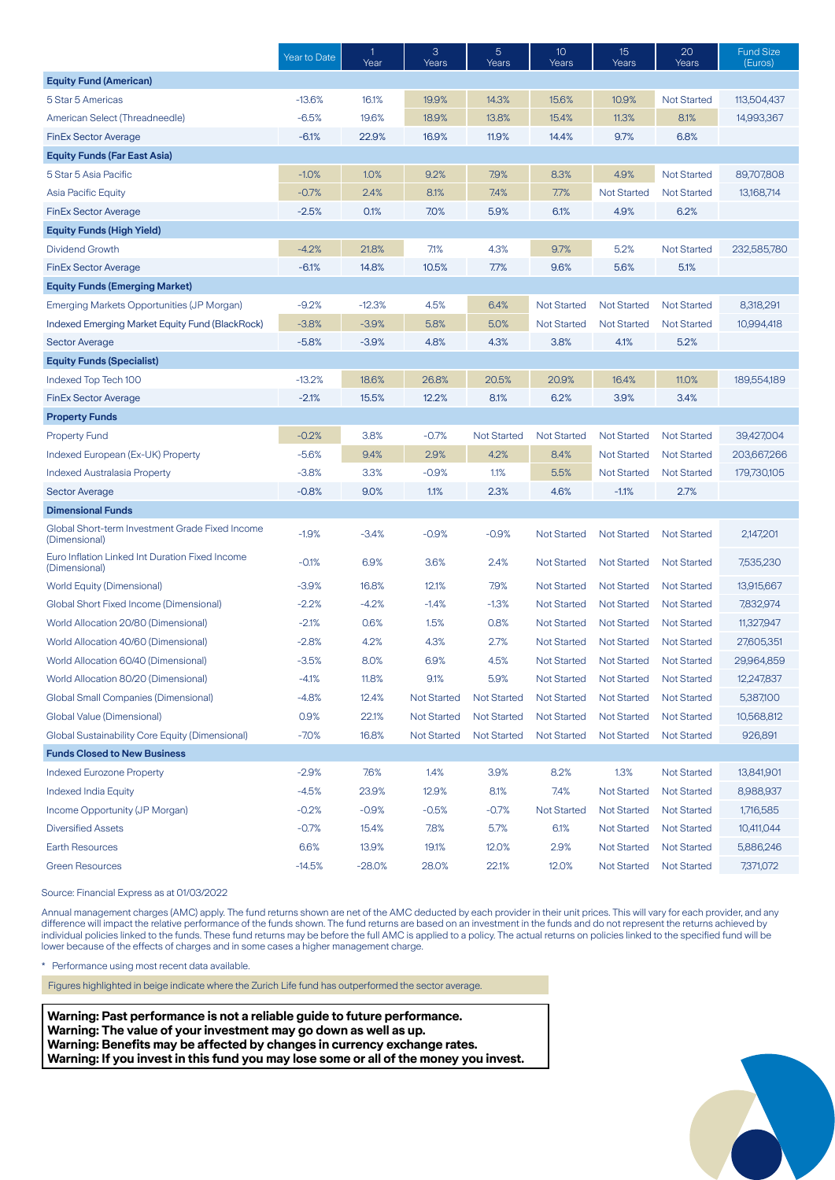|                                                                  | Year to Date | $\mathbf{1}$<br>Year | 3<br>Years         | 5<br>Years         | 10<br>Years        | 15<br>Years        | 20<br>Years        | <b>Fund Size</b><br>(Euros) |
|------------------------------------------------------------------|--------------|----------------------|--------------------|--------------------|--------------------|--------------------|--------------------|-----------------------------|
| <b>Equity Fund (American)</b>                                    |              |                      |                    |                    |                    |                    |                    |                             |
| 5 Star 5 Americas                                                | $-13.6%$     | 16.1%                | 19.9%              | 14.3%              | 15.6%              | 10.9%              | <b>Not Started</b> | 113,504,437                 |
| American Select (Threadneedle)                                   | $-6.5%$      | 19.6%                | 18.9%              | 13.8%              | 15.4%              | 11.3%              | 8.1%               | 14,993,367                  |
| <b>FinEx Sector Average</b>                                      | $-6.1%$      | 22.9%                | 16.9%              | 11.9%              | 14.4%              | 9.7%               | 6.8%               |                             |
| <b>Equity Funds (Far East Asia)</b>                              |              |                      |                    |                    |                    |                    |                    |                             |
| 5 Star 5 Asia Pacific                                            | $-1.0%$      | 1.0%                 | 9.2%               | 7.9%               | 8.3%               | 4.9%               | <b>Not Started</b> | 89,707,808                  |
| <b>Asia Pacific Equity</b>                                       | $-0.7%$      | 2.4%                 | 8.1%               | 7.4%               | 7.7%               | <b>Not Started</b> | <b>Not Started</b> | 13,168,714                  |
| <b>FinEx Sector Average</b>                                      | $-2.5%$      | 0.1%                 | 7.0%               | 5.9%               | 6.1%               | 4.9%               | 6.2%               |                             |
| <b>Equity Funds (High Yield)</b>                                 |              |                      |                    |                    |                    |                    |                    |                             |
| <b>Dividend Growth</b>                                           | $-4.2%$      | 21.8%                | 7.1%               | 4.3%               | 9.7%               | 5.2%               | <b>Not Started</b> | 232,585,780                 |
| <b>FinEx Sector Average</b>                                      | $-6.1%$      | 14.8%                | 10.5%              | 7.7%               | 9.6%               | 5.6%               | 5.1%               |                             |
| <b>Equity Funds (Emerging Market)</b>                            |              |                      |                    |                    |                    |                    |                    |                             |
| Emerging Markets Opportunities (JP Morgan)                       | $-9.2%$      | $-12.3%$             | 4.5%               | 6.4%               | <b>Not Started</b> | <b>Not Started</b> | <b>Not Started</b> | 8,318,291                   |
| <b>Indexed Emerging Market Equity Fund (BlackRock)</b>           | $-3.8%$      | $-3.9%$              | 5.8%               | 5.0%               | Not Started        | Not Started        | <b>Not Started</b> | 10,994,418                  |
| <b>Sector Average</b>                                            | $-5.8%$      | $-3.9%$              | 4.8%               | 4.3%               | 3.8%               | 4.1%               | 5.2%               |                             |
| <b>Equity Funds (Specialist)</b>                                 |              |                      |                    |                    |                    |                    |                    |                             |
| Indexed Top Tech 100                                             | $-13.2%$     | 18.6%                | 26.8%              | 20.5%              | 20.9%              | 16.4%              | 11.0%              | 189,554,189                 |
| <b>FinEx Sector Average</b>                                      | $-2.1%$      | 15.5%                | 12.2%              | 8.1%               | 6.2%               | 3.9%               | 3.4%               |                             |
| <b>Property Funds</b>                                            |              |                      |                    |                    |                    |                    |                    |                             |
| <b>Property Fund</b>                                             | $-0.2%$      | 3.8%                 | $-0.7%$            | <b>Not Started</b> | <b>Not Started</b> | <b>Not Started</b> | <b>Not Started</b> | 39,427,004                  |
| Indexed European (Ex-UK) Property                                | $-5.6%$      | 9.4%                 | 2.9%               | 4.2%               | 8.4%               | <b>Not Started</b> | <b>Not Started</b> | 203,667,266                 |
| Indexed Australasia Property                                     | $-3.8%$      | 3.3%                 | $-0.9%$            | 1.1%               | 5.5%               | <b>Not Started</b> | <b>Not Started</b> | 179,730,105                 |
| <b>Sector Average</b>                                            | $-0.8%$      | 9.0%                 | 1.1%               | 2.3%               | 4.6%               | $-1.1%$            | 2.7%               |                             |
| <b>Dimensional Funds</b>                                         |              |                      |                    |                    |                    |                    |                    |                             |
| Global Short-term Investment Grade Fixed Income<br>(Dimensional) | $-1.9%$      | $-3.4%$              | $-0.9%$            | $-0.9%$            | <b>Not Started</b> | <b>Not Started</b> | <b>Not Started</b> | 2,147,201                   |
| Euro Inflation Linked Int Duration Fixed Income<br>(Dimensional) | $-0.1%$      | 6.9%                 | 3.6%               | 2.4%               | <b>Not Started</b> | <b>Not Started</b> | <b>Not Started</b> | 7,535,230                   |
| <b>World Equity (Dimensional)</b>                                | $-3.9%$      | 16.8%                | 12.1%              | 7.9%               | <b>Not Started</b> | <b>Not Started</b> | <b>Not Started</b> | 13,915,667                  |
| Global Short Fixed Income (Dimensional)                          | $-2.2%$      | $-4.2%$              | $-1.4%$            | $-1.3%$            | <b>Not Started</b> | <b>Not Started</b> | <b>Not Started</b> | 7,832,974                   |
| World Allocation 20/80 (Dimensional)                             | $-2.1%$      | 0.6%                 | 1.5%               | 0.8%               | <b>Not Started</b> | <b>Not Started</b> | <b>Not Started</b> | 11,327,947                  |
| World Allocation 40/60 (Dimensional)                             | $-2.8%$      | 4.2%                 | 4.3%               | 2.7%               | <b>Not Started</b> | <b>Not Started</b> | <b>Not Started</b> | 27,605,351                  |
| World Allocation 60/40 (Dimensional)                             | $-3.5%$      | 8.0%                 | 6.9%               | 4.5%               | <b>Not Started</b> | <b>Not Started</b> | <b>Not Started</b> | 29,964,859                  |
| World Allocation 80/20 (Dimensional)                             | $-4.1%$      | 11.8%                | 9.1%               | 5.9%               | <b>Not Started</b> | <b>Not Started</b> | Not Started        | 12,247,837                  |
| <b>Global Small Companies (Dimensional)</b>                      | $-4.8%$      | 12.4%                | <b>Not Started</b> | Not Started        | <b>Not Started</b> | <b>Not Started</b> | <b>Not Started</b> | 5,387,100                   |
| Global Value (Dimensional)                                       | 0.9%         | 22.1%                | <b>Not Started</b> | <b>Not Started</b> | <b>Not Started</b> | <b>Not Started</b> | <b>Not Started</b> | 10,568,812                  |
| Global Sustainability Core Equity (Dimensional)                  | $-7.0%$      | 16.8%                | <b>Not Started</b> | <b>Not Started</b> | <b>Not Started</b> | <b>Not Started</b> | <b>Not Started</b> | 926,891                     |
| <b>Funds Closed to New Business</b>                              |              |                      |                    |                    |                    |                    |                    |                             |
| <b>Indexed Eurozone Property</b>                                 | $-2.9%$      | 7.6%                 | 1.4%               | 3.9%               | 8.2%               | 1.3%               | <b>Not Started</b> | 13,841,901                  |
| <b>Indexed India Equity</b>                                      | $-4.5%$      | 23.9%                | 12.9%              | 8.1%               | 7.4%               | <b>Not Started</b> | <b>Not Started</b> | 8,988,937                   |
| Income Opportunity (JP Morgan)                                   | $-0.2%$      | $-0.9%$              | $-0.5%$            | $-0.7%$            | <b>Not Started</b> | <b>Not Started</b> | <b>Not Started</b> | 1,716,585                   |
| <b>Diversified Assets</b>                                        | $-0.7%$      | 15.4%                | 7.8%               | 5.7%               | 6.1%               | <b>Not Started</b> | <b>Not Started</b> | 10,411,044                  |
| <b>Earth Resources</b>                                           | 6.6%         | 13.9%                | 19.1%              | 12.0%              | 2.9%               | <b>Not Started</b> | <b>Not Started</b> | 5,886,246                   |
| <b>Green Resources</b>                                           | $-14.5%$     | $-28.0\%$            | 28.0%              | 22.1%              | 12.0%              | <b>Not Started</b> | <b>Not Started</b> | 7,371,072                   |

Source: Financial Express as at 01/03/2022

Annual management charges (AMC) apply. The fund returns shown are net of the AMC deducted by each provider in their unit prices. This will vary for each provider, and any difference will impact the relative performance of the funds shown. The fund returns are based on an investment in the funds and do not represent the returns achieved by individual policies linked to the funds. These fund returns may be before the full AMC is applied to a policy. The actual returns on policies linked to the specified fund will be lower because of the effects of charges and in some cases a higher management charge.

\* Performance using most recent data available.

Figures highlighted in beige indicate where the Zurich Life fund has outperformed the sector average.

**Warning: Past performance is not a reliable guide to future performance. Warning: The value of your investment may go down as well as up. Warning: Benefits may be affected by changes in currency exchange rates. Warning: If you invest in this fund you may lose some or all of the money you invest.**